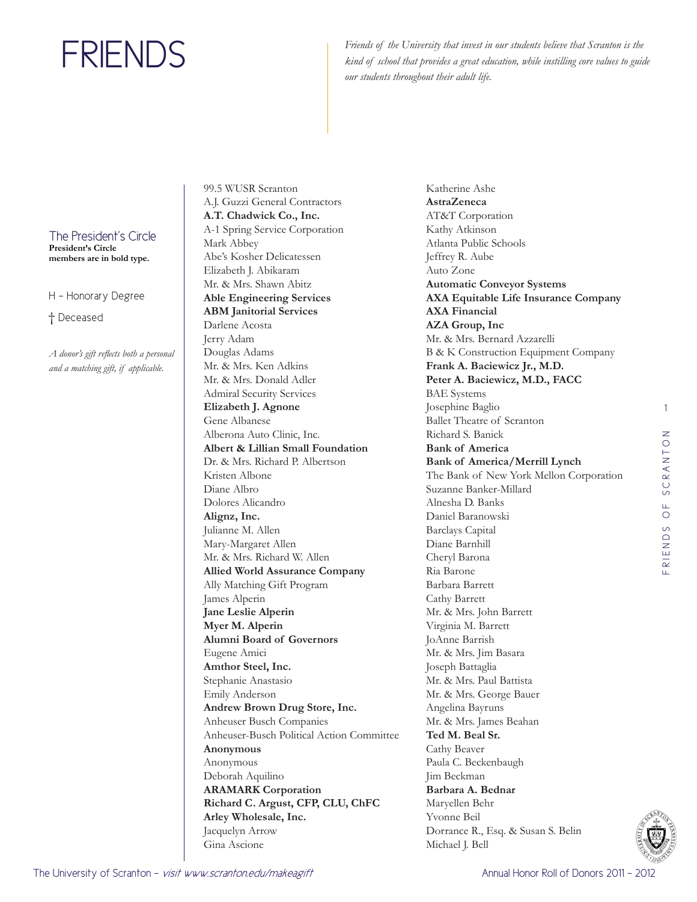Friends of the University that invest in our students believe that Scranton is the *kind of school that provides a great education, while instilling core values to guide our students throughout their adult life.*

The President's Circle **President's Circle** 

**members are in bold type.**

H - Honorary Degree

† Deceased

*A donor's gift reflects both a personal and a matching gift, if applicable.* 

99.5 WUSR Scranton A.J. Guzzi General Contractors **A.T. Chadwick Co., Inc.**  A-1 Spring Service Corporation Mark Abbey Abe's Kosher Delicatessen Elizabeth J. Abikaram Mr. & Mrs. Shawn Abitz **Able Engineering Services ABM Janitorial Services**  Darlene Acosta Jerry Adam Douglas Adams Mr. & Mrs. Ken Adkins Mr. & Mrs. Donald Adler Admiral Security Services **Elizabeth J. Agnone**  Gene Albanese Alberona Auto Clinic, Inc. **Albert & Lillian Small Foundation**  Dr. & Mrs. Richard P. Albertson Kristen Albone Diane Albro Dolores Alicandro **Alignz, Inc.**  Julianne M. Allen Mary-Margaret Allen Mr. & Mrs. Richard W. Allen **Allied World Assurance Company**  Ally Matching Gift Program James Alperin **Jane Leslie Alperin Myer M. Alperin Alumni Board of Governors**  Eugene Amici **Amthor Steel, Inc.**  Stephanie Anastasio Emily Anderson **Andrew Brown Drug Store, Inc.**  Anheuser Busch Companies Anheuser-Busch Political Action Committee **Anonymous** Anonymous Deborah Aquilino **ARAMARK Corporation Richard C. Argust, CFP, CLU, ChFC Arley Wholesale, Inc.**  Jacquelyn Arrow Gina Ascione

Katherine Ashe **AstraZeneca**  AT&T Corporation Kathy Atkinson Atlanta Public Schools Jeffrey R. Aube Auto Zone **Automatic Conveyor Systems AXA Equitable Life Insurance Company AXA Financial AZA Group, Inc**  Mr. & Mrs. Bernard Azzarelli B & K Construction Equipment Company **Frank A. Baciewicz Jr., M.D. Peter A. Baciewicz, M.D., FACC**  BAE Systems Josephine Baglio Ballet Theatre of Scranton Richard S. Banick **Bank of America Bank of America/Merrill Lynch**  The Bank of New York Mellon Corporation Suzanne Banker-Millard Alnesha D. Banks Daniel Baranowski Barclays Capital Diane Barnhill Cheryl Barona Ria Barone Barbara Barrett Cathy Barrett Mr. & Mrs. John Barrett Virginia M. Barrett JoAnne Barrish Mr. & Mrs. Jim Basara Joseph Battaglia Mr. & Mrs. Paul Battista Mr. & Mrs. George Bauer Angelina Bayruns Mr. & Mrs. James Beahan **Ted M. Beal Sr.**  Cathy Beaver Paula C. Beckenbaugh Jim Beckman **Barbara A. Bednar**  Maryellen Behr Yvonne Beil Dorrance R., Esq. & Susan S. Belin Michael J. Bell

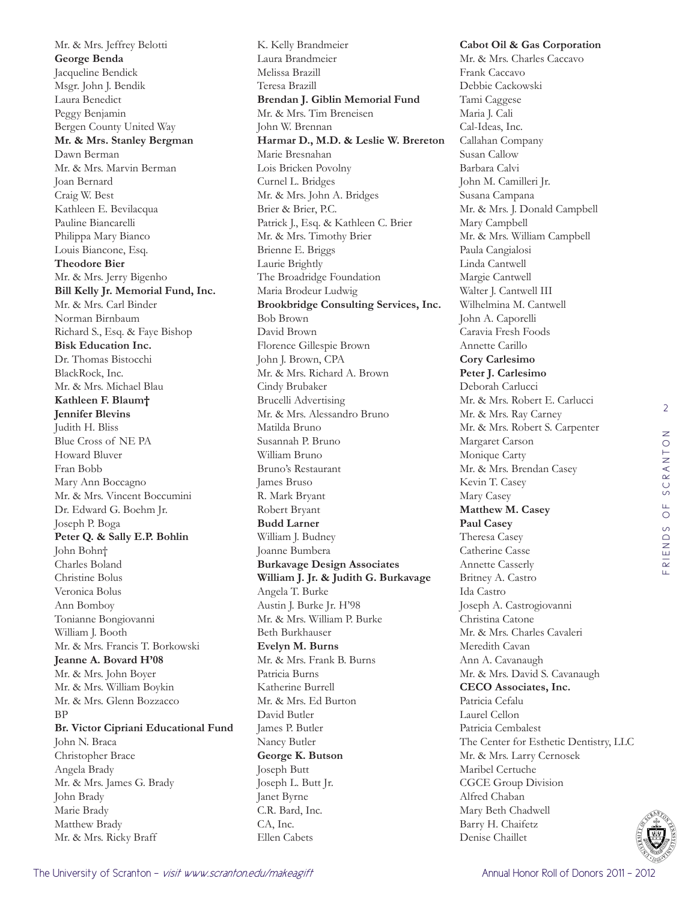Mr. & Mrs. Jeffrey Belotti **George Benda**  Jacqueline Bendick Msgr. John J. Bendik Laura Benedict Peggy Benjamin Bergen County United Way **Mr. & Mrs. Stanley Bergman**  Dawn Berman Mr. & Mrs. Marvin Berman Joan Bernard Craig W. Best Kathleen E. Bevilacqua Pauline Biancarelli Philippa Mary Bianco Louis Biancone, Esq. **Theodore Bier**  Mr. & Mrs. Jerry Bigenho **Bill Kelly Jr. Memorial Fund, Inc.**  Mr. & Mrs. Carl Binder Norman Birnbaum Richard S., Esq. & Faye Bishop **Bisk Education Inc.**  Dr. Thomas Bistocchi BlackRock, Inc. Mr. & Mrs. Michael Blau **Kathleen F. Blaum† Jennifer Blevins**  Judith H. Bliss Blue Cross of NE PA Howard Bluver Fran Bobb Mary Ann Boccagno Mr. & Mrs. Vincent Boccumini Dr. Edward G. Boehm Jr. Joseph P. Boga **Peter Q. & Sally E.P. Bohlin** John Bohn† Charles Boland Christine Bolus Veronica Bolus Ann Bomboy Tonianne Bongiovanni William J. Booth Mr. & Mrs. Francis T. Borkowski **Jeanne A. Bovard H'08** Mr. & Mrs. John Boyer Mr. & Mrs. William Boykin Mr. & Mrs. Glenn Bozzacco BP **Br. Victor Cipriani Educational Fund**  John N. Braca Christopher Brace Angela Brady Mr. & Mrs. James G. Brady John Brady Marie Brady Matthew Brady Mr. & Mrs. Ricky Braff

K. Kelly Brandmeier Laura Brandmeier Melissa Brazill Teresa Brazill **Brendan J. Giblin Memorial Fund**  Mr. & Mrs. Tim Breneisen John W. Brennan **Harmar D., M.D. & Leslie W. Brereton** Marie Bresnahan Lois Bricken Povolny Curnel L. Bridges Mr. & Mrs. John A. Bridges Brier & Brier, P.C. Patrick J., Esq. & Kathleen C. Brier Mr. & Mrs. Timothy Brier Brienne E. Briggs Laurie Brightly The Broadridge Foundation Maria Brodeur Ludwig **Brookbridge Consulting Services, Inc.**  Bob Brown David Brown Florence Gillespie Brown John J. Brown, CPA Mr. & Mrs. Richard A. Brown Cindy Brubaker Brucelli Advertising Mr. & Mrs. Alessandro Bruno Matilda Bruno Susannah P. Bruno William Bruno Bruno's Restaurant James Bruso R. Mark Bryant Robert Bryant **Budd Larner**  William J. Budney Joanne Bumbera **Burkavage Design Associates William J. Jr. & Judith G. Burkavage** Angela T. Burke Austin J. Burke Jr. H'98 Mr. & Mrs. William P. Burke Beth Burkhauser **Evelyn M. Burns**  Mr. & Mrs. Frank B. Burns Patricia Burns Katherine Burrell Mr. & Mrs. Ed Burton David Butler James P. Butler Nancy Butler **George K. Butson**  Joseph Butt Joseph L. Butt Jr. Janet Byrne C.R. Bard, Inc. CA, Inc. Ellen Cabets

**Cabot Oil & Gas Corporation**  Mr. & Mrs. Charles Caccavo Frank Caccavo Debbie Cackowski Tami Caggese Maria J. Cali Cal-Ideas, Inc. Callahan Company Susan Callow Barbara Calvi John M. Camilleri Jr. Susana Campana Mr. & Mrs. J. Donald Campbell Mary Campbell Mr. & Mrs. William Campbell Paula Cangialosi Linda Cantwell Margie Cantwell Walter J. Cantwell III Wilhelmina M. Cantwell John A. Caporelli Caravia Fresh Foods Annette Carillo **Cory Carlesimo Peter J. Carlesimo**  Deborah Carlucci Mr. & Mrs. Robert E. Carlucci Mr. & Mrs. Ray Carney Mr. & Mrs. Robert S. Carpenter Margaret Carson Monique Carty Mr. & Mrs. Brendan Casey Kevin T. Casey Mary Casey **Matthew M. Casey Paul Casey**  Theresa Casey Catherine Casse Annette Casserly Britney A. Castro Ida Castro Joseph A. Castrogiovanni Christina Catone Mr. & Mrs. Charles Cavaleri Meredith Cavan Ann A. Cavanaugh Mr. & Mrs. David S. Cavanaugh **CECO Associates, Inc.**  Patricia Cefalu Laurel Cellon Patricia Cembalest The Center for Esthetic Dentistry, LLC Mr. & Mrs. Larry Cernosek Maribel Certuche CGCE Group Division Alfred Chaban Mary Beth Chadwell Barry H. Chaifetz

Denise Chaillet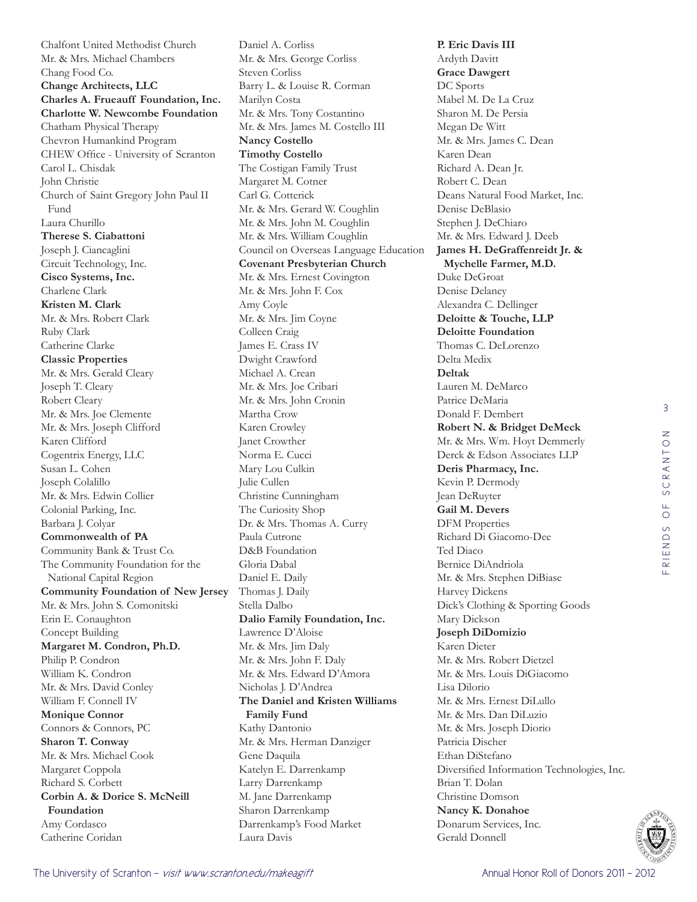Chalfont United Methodist Church Mr. & Mrs. Michael Chambers Chang Food Co. **Change Architects, LLC Charles A. Frueauff Foundation, Inc. Charlotte W. Newcombe Foundation**  Chatham Physical Therapy Chevron Humankind Program CHEW Office - University of Scranton Carol L. Chisdak John Christie Church of Saint Gregory John Paul II Fund Laura Churillo **Therese S. Ciabattoni**  Joseph J. Ciancaglini Circuit Technology, Inc. **Cisco Systems, Inc.**  Charlene Clark **Kristen M. Clark**  Mr. & Mrs. Robert Clark Ruby Clark Catherine Clarke **Classic Properties**  Mr. & Mrs. Gerald Cleary Joseph T. Cleary Robert Cleary Mr. & Mrs. Joe Clemente Mr. & Mrs. Joseph Clifford Karen Clifford Cogentrix Energy, LLC Susan L. Cohen Joseph Colalillo Mr. & Mrs. Edwin Collier Colonial Parking, Inc. Barbara J. Colyar **Commonwealth of PA**  Community Bank & Trust Co. The Community Foundation for the National Capital Region **Community Foundation of New Jersey**  Mr. & Mrs. John S. Comonitski Erin E. Conaughton Concept Building **Margaret M. Condron, Ph.D.**  Philip P. Condron William K. Condron Mr. & Mrs. David Conley William F. Connell IV **Monique Connor**  Connors & Connors, PC **Sharon T. Conway**  Mr. & Mrs. Michael Cook Margaret Coppola Richard S. Corbett **Corbin A. & Dorice S. McNeill Foundation**  Amy Cordasco Catherine Coridan

Daniel A. Corliss Mr. & Mrs. George Corliss Steven Corliss Barry L. & Louise R. Corman Marilyn Costa Mr. & Mrs. Tony Costantino Mr. & Mrs. James M. Costello III **Nancy Costello Timothy Costello**  The Costigan Family Trust Margaret M. Cotner Carl G. Cotterick Mr. & Mrs. Gerard W. Coughlin Mr. & Mrs. John M. Coughlin Mr. & Mrs. William Coughlin Council on Overseas Language Education **Covenant Presbyterian Church**  Mr. & Mrs. Ernest Covington Mr. & Mrs. John F. Cox Amy Coyle Mr. & Mrs. Jim Coyne Colleen Craig James E. Crass IV Dwight Crawford Michael A. Crean Mr. & Mrs. Joe Cribari Mr. & Mrs. John Cronin Martha Crow Karen Crowley Janet Crowther Norma E. Cucci Mary Lou Culkin Julie Cullen Christine Cunningham The Curiosity Shop Dr. & Mrs. Thomas A. Curry Paula Cutrone D&B Foundation Gloria Dabal Daniel E. Daily Thomas J. Daily Stella Dalbo **Dalio Family Foundation, Inc.**  Lawrence D'Aloise Mr. & Mrs. Jim Daly Mr. & Mrs. John F. Daly Mr. & Mrs. Edward D'Amora Nicholas J. D'Andrea **The Daniel and Kristen Williams Family Fund**  Kathy Dantonio Mr. & Mrs. Herman Danziger Gene Daquila Katelyn E. Darrenkamp Larry Darrenkamp M. Jane Darrenkamp Sharon Darrenkamp Darrenkamp's Food Market Laura Davis

**P. Eric Davis III**  Ardyth Davitt **Grace Dawgert**  DC Sports Mabel M. De La Cruz Sharon M. De Persia Megan De Witt Mr. & Mrs. James C. Dean Karen Dean Richard A. Dean Jr. Robert C. Dean Deans Natural Food Market, Inc. Denise DeBlasio Stephen J. DeChiaro Mr. & Mrs. Edward J. Deeb **James H. DeGraffenreidt Jr. & Mychelle Farmer, M.D.** Duke DeGroat Denise Delaney Alexandra C. Dellinger **Deloitte & Touche, LLP Deloitte Foundation**  Thomas C. DeLorenzo Delta Medix **Deltak**  Lauren M. DeMarco Patrice DeMaria Donald F. Dembert **Robert N. & Bridget DeMeck** Mr. & Mrs. Wm. Hoyt Demmerly Derck & Edson Associates LLP **Deris Pharmacy, Inc.**  Kevin P. Dermody Jean DeRuyter **Gail M. Devers**  DFM Properties Richard Di Giacomo-Dee Ted Diaco Bernice DiAndriola Mr. & Mrs. Stephen DiBiase Harvey Dickens Dick's Clothing & Sporting Goods Mary Dickson **Joseph DiDomizio**  Karen Dieter Mr. & Mrs. Robert Dietzel Mr. & Mrs. Louis DiGiacomo Lisa Dilorio Mr. & Mrs. Ernest DiLullo Mr. & Mrs. Dan DiLuzio Mr. & Mrs. Joseph Diorio Patricia Discher Ethan DiStefano Diversified Information Technologies, Inc. Brian T. Dolan Christine Domson **Nancy K. Donahoe**  Donarum Services, Inc. Gerald Donnell

3

FRIENDS OF SCRANTON

RIENDS OF SCRANTON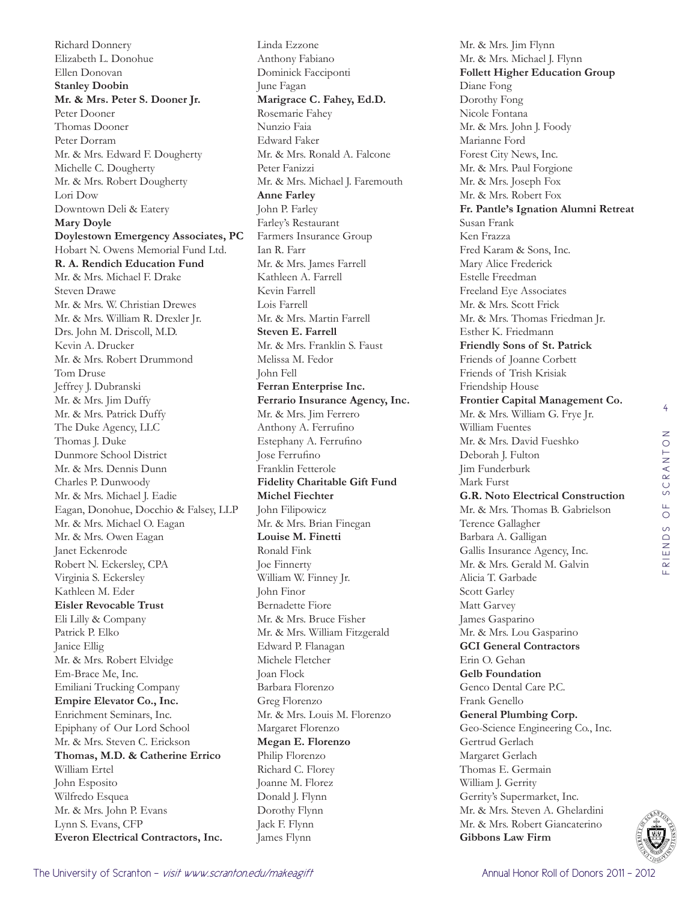Richard Donnery Elizabeth L. Donohue Ellen Donovan **Stanley Doobin Mr. & Mrs. Peter S. Dooner Jr.**  Peter Dooner Thomas Dooner Peter Dorram Mr. & Mrs. Edward F. Dougherty Michelle C. Dougherty Mr. & Mrs. Robert Dougherty Lori Dow Downtown Deli & Eatery **Mary Doyle Doylestown Emergency Associates, PC**  Hobart N. Owens Memorial Fund Ltd. **R. A. Rendich Education Fund**  Mr. & Mrs. Michael F. Drake Steven Drawe Mr. & Mrs. W. Christian Drewes Mr. & Mrs. William R. Drexler Jr. Drs. John M. Driscoll, M.D. Kevin A. Drucker Mr. & Mrs. Robert Drummond Tom Druse Jeffrey J. Dubranski Mr. & Mrs. Jim Duffy Mr. & Mrs. Patrick Duffy The Duke Agency, LLC Thomas J. Duke Dunmore School District Mr. & Mrs. Dennis Dunn Charles P. Dunwoody Mr. & Mrs. Michael J. Eadie Eagan, Donohue, Docchio & Falsey, LLP Mr. & Mrs. Michael O. Eagan Mr. & Mrs. Owen Eagan Janet Eckenrode Robert N. Eckersley, CPA Virginia S. Eckersley Kathleen M. Eder **Eisler Revocable Trust**  Eli Lilly & Company Patrick P. Elko Janice Ellig Mr. & Mrs. Robert Elvidge Em-Brace Me, Inc. Emiliani Trucking Company **Empire Elevator Co., Inc.**  Enrichment Seminars, Inc. Epiphany of Our Lord School Mr. & Mrs. Steven C. Erickson **Thomas, M.D. & Catherine Errico** William Ertel John Esposito Wilfredo Esquea Mr. & Mrs. John P. Evans Lynn S. Evans, CFP **Everon Electrical Contractors, Inc.** 

Linda Ezzone Anthony Fabiano Dominick Facciponti June Fagan **Marigrace C. Fahey, Ed.D.**  Rosemarie Fahey Nunzio Faia Edward Faker Mr. & Mrs. Ronald A. Falcone Peter Fanizzi Mr. & Mrs. Michael J. Faremouth **Anne Farley**  John P. Farley Farley's Restaurant Farmers Insurance Group Ian R. Farr Mr. & Mrs. James Farrell Kathleen A. Farrell Kevin Farrell Lois Farrell Mr. & Mrs. Martin Farrell **Steven E. Farrell**  Mr. & Mrs. Franklin S. Faust Melissa M. Fedor John Fell **Ferran Enterprise Inc. Ferrario Insurance Agency, Inc.**  Mr. & Mrs. Jim Ferrero Anthony A. Ferrufino Estephany A. Ferrufino Jose Ferrufino Franklin Fetterole **Fidelity Charitable Gift Fund Michel Fiechter**  John Filipowicz Mr. & Mrs. Brian Finegan **Louise M. Finetti**  Ronald Fink Joe Finnerty William W. Finney Jr. John Finor Bernadette Fiore Mr. & Mrs. Bruce Fisher Mr. & Mrs. William Fitzgerald Edward P. Flanagan Michele Fletcher Joan Flock Barbara Florenzo Greg Florenzo Mr. & Mrs. Louis M. Florenzo Margaret Florenzo **Megan E. Florenzo**  Philip Florenzo Richard C. Florey Joanne M. Florez Donald J. Flynn Dorothy Flynn Jack F. Flynn James Flynn

Mr. & Mrs. Jim Flynn Mr. & Mrs. Michael J. Flynn **Follett Higher Education Group**  Diane Fong Dorothy Fong Nicole Fontana Mr. & Mrs. John J. Foody Marianne Ford Forest City News, Inc. Mr. & Mrs. Paul Forgione Mr. & Mrs. Joseph Fox Mr. & Mrs. Robert Fox **Fr. Pantle's Ignation Alumni Retreat**  Susan Frank Ken Frazza Fred Karam & Sons, Inc. Mary Alice Frederick Estelle Freedman Freeland Eye Associates Mr. & Mrs. Scott Frick Mr. & Mrs. Thomas Friedman Jr. Esther K. Friedmann **Friendly Sons of St. Patrick**  Friends of Joanne Corbett Friends of Trish Krisiak Friendship House **Frontier Capital Management Co.**  Mr. & Mrs. William G. Frye Jr. William Fuentes Mr. & Mrs. David Fueshko Deborah J. Fulton Jim Funderburk Mark Furst **G.R. Noto Electrical Construction**  Mr. & Mrs. Thomas B. Gabrielson Terence Gallagher Barbara A. Galligan Gallis Insurance Agency, Inc. Mr. & Mrs. Gerald M. Galvin Alicia T. Garbade Scott Garley Matt Garvey James Gasparino Mr. & Mrs. Lou Gasparino **GCI General Contractors**  Erin O. Gehan **Gelb Foundation**  Genco Dental Care P.C. Frank Genello **General Plumbing Corp.**  Geo-Science Engineering Co., Inc. Gertrud Gerlach Margaret Gerlach Thomas E. Germain William J. Gerrity Gerrity's Supermarket, Inc. Mr. & Mrs. Steven A. Ghelardini Mr. & Mrs. Robert Giancaterino **Gibbons Law Firm**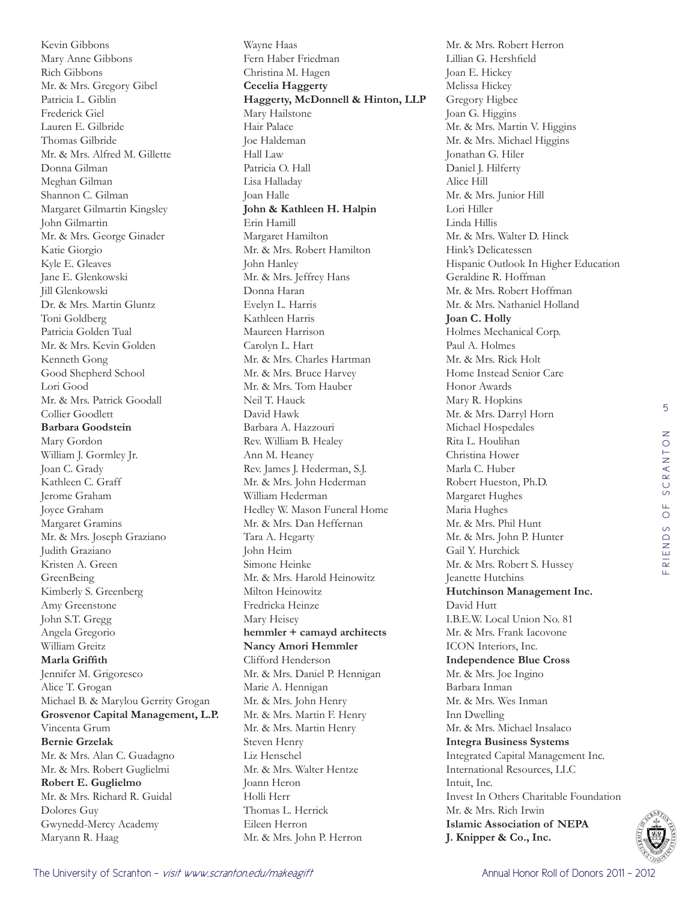Kevin Gibbons Mary Anne Gibbons Rich Gibbons Mr. & Mrs. Gregory Gibel Patricia L. Giblin Frederick Giel Lauren E. Gilbride Thomas Gilbride Mr. & Mrs. Alfred M. Gillette Donna Gilman Meghan Gilman Shannon C. Gilman Margaret Gilmartin Kingsley John Gilmartin Mr. & Mrs. George Ginader Katie Giorgio Kyle E. Gleaves Jane E. Glenkowski Jill Glenkowski Dr. & Mrs. Martin Gluntz Toni Goldberg Patricia Golden Tual Mr. & Mrs. Kevin Golden Kenneth Gong Good Shepherd School Lori Good Mr. & Mrs. Patrick Goodall Collier Goodlett **Barbara Goodstein**  Mary Gordon William J. Gormley Jr. Joan C. Grady Kathleen C. Graff Jerome Graham Joyce Graham Margaret Gramins Mr. & Mrs. Joseph Graziano Judith Graziano Kristen A. Green GreenBeing Kimberly S. Greenberg Amy Greenstone John S.T. Gregg Angela Gregorio William Greitz **Marla Griffith**  Jennifer M. Grigoresco Alice T. Grogan Michael B. & Marylou Gerrity Grogan **Grosvenor Capital Management, L.P.**  Vincenta Grum **Bernie Grzelak**  Mr. & Mrs. Alan C. Guadagno Mr. & Mrs. Robert Guglielmi **Robert E. Guglielmo**  Mr. & Mrs. Richard R. Guidal Dolores Guy Gwynedd-Mercy Academy Maryann R. Haag

Wayne Haas Fern Haber Friedman Christina M. Hagen **Cecelia Haggerty Haggerty, McDonnell & Hinton, LLP**  Mary Hailstone Hair Palace Joe Haldeman Hall Law Patricia O. Hall Lisa Halladay Joan Halle **John & Kathleen H. Halpin** Erin Hamill Margaret Hamilton Mr. & Mrs. Robert Hamilton John Hanley Mr. & Mrs. Jeffrey Hans Donna Haran Evelyn L. Harris Kathleen Harris Maureen Harrison Carolyn L. Hart Mr. & Mrs. Charles Hartman Mr. & Mrs. Bruce Harvey Mr. & Mrs. Tom Hauber Neil T. Hauck David Hawk Barbara A. Hazzouri Rev. William B. Healey Ann M. Heaney Rev. James J. Hederman, S.J. Mr. & Mrs. John Hederman William Hederman Hedley W. Mason Funeral Home Mr. & Mrs. Dan Heffernan Tara A. Hegarty John Heim Simone Heinke Mr. & Mrs. Harold Heinowitz Milton Heinowitz Fredricka Heinze Mary Heisey **hemmler + camayd architects Nancy Amori Hemmler**  Clifford Henderson Mr. & Mrs. Daniel P. Hennigan Marie A. Hennigan Mr. & Mrs. John Henry Mr. & Mrs. Martin F. Henry Mr. & Mrs. Martin Henry Steven Henry Liz Henschel Mr. & Mrs. Walter Hentze Joann Heron Holli Herr Thomas L. Herrick Eileen Herron Mr. & Mrs. John P. Herron

Mr. & Mrs. Robert Herron Lillian G. Hershfield Joan E. Hickey Melissa Hickey Gregory Higbee Joan G. Higgins Mr. & Mrs. Martin V. Higgins Mr. & Mrs. Michael Higgins Jonathan G. Hiler Daniel J. Hilferty Alice Hill Mr. & Mrs. Junior Hill Lori Hiller Linda Hillis Mr. & Mrs. Walter D. Hinck Hink's Delicatessen Hispanic Outlook In Higher Education Geraldine R. Hoffman Mr. & Mrs. Robert Hoffman Mr. & Mrs. Nathaniel Holland **Joan C. Holly**  Holmes Mechanical Corp. Paul A. Holmes Mr. & Mrs. Rick Holt Home Instead Senior Care Honor Awards Mary R. Hopkins Mr. & Mrs. Darryl Horn Michael Hospedales Rita L. Houlihan Christina Hower Marla C. Huber Robert Hueston, Ph.D. Margaret Hughes Maria Hughes Mr. & Mrs. Phil Hunt Mr. & Mrs. John P. Hunter Gail Y. Hurchick Mr. & Mrs. Robert S. Hussey Jeanette Hutchins **Hutchinson Management Inc.**  David Hutt I.B.E.W. Local Union No. 81 Mr. & Mrs. Frank Iacovone ICON Interiors, Inc. **Independence Blue Cross**  Mr. & Mrs. Joe Ingino Barbara Inman Mr. & Mrs. Wes Inman Inn Dwelling Mr. & Mrs. Michael Insalaco **Integra Business Systems**  Integrated Capital Management Inc. International Resources, LLC Intuit, Inc. Invest In Others Charitable Foundation Mr. & Mrs. Rich Irwin **Islamic Association of NEPA J. Knipper & Co., Inc.** 

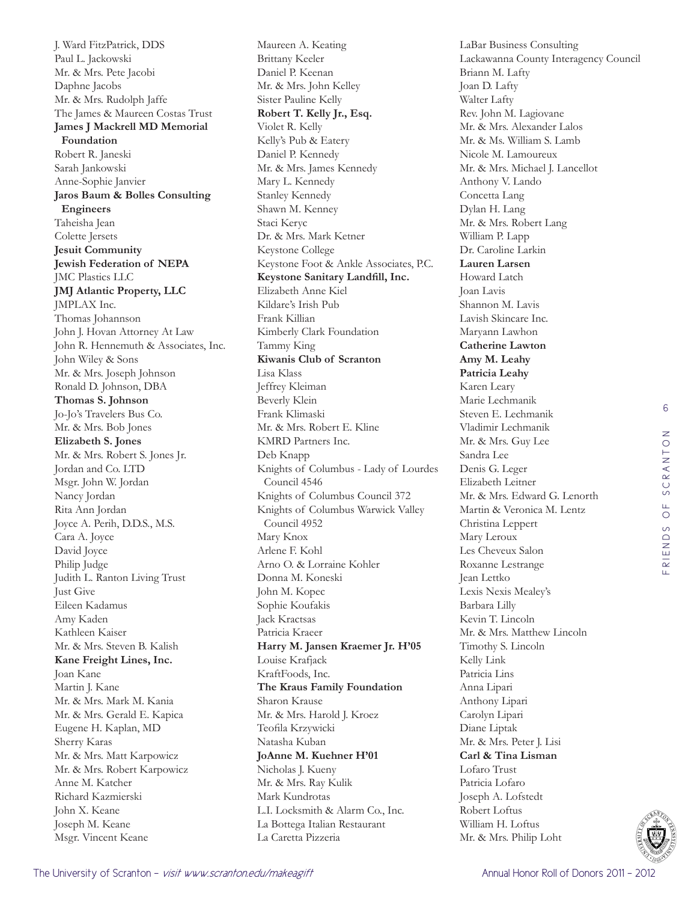J. Ward FitzPatrick, DDS Paul L. Jackowski Mr. & Mrs. Pete Jacobi Daphne Jacobs Mr. & Mrs. Rudolph Jaffe The James & Maureen Costas Trust **James J Mackrell MD Memorial Foundation**  Robert R. Janeski Sarah Jankowski Anne-Sophie Janvier **Jaros Baum & Bolles Consulting Engineers**  Taheisha Jean Colette Jersets **Jesuit Community Jewish Federation of NEPA**  JMC Plastics LLC **JMJ Atlantic Property, LLC**  JMPLAX Inc. Thomas Johannson John J. Hovan Attorney At Law John R. Hennemuth & Associates, Inc. John Wiley & Sons Mr. & Mrs. Joseph Johnson Ronald D. Johnson, DBA **Thomas S. Johnson**  Jo-Jo's Travelers Bus Co. Mr. & Mrs. Bob Jones **Elizabeth S. Jones**  Mr. & Mrs. Robert S. Jones Jr. Jordan and Co. LTD Msgr. John W. Jordan Nancy Jordan Rita Ann Jordan Joyce A. Perih, D.D.S., M.S. Cara A. Joyce David Joyce Philip Judge Judith L. Ranton Living Trust Just Give Eileen Kadamus Amy Kaden Kathleen Kaiser Mr. & Mrs. Steven B. Kalish **Kane Freight Lines, Inc.**  Joan Kane Martin J. Kane Mr. & Mrs. Mark M. Kania Mr. & Mrs. Gerald E. Kapica Eugene H. Kaplan, MD Sherry Karas Mr. & Mrs. Matt Karpowicz Mr. & Mrs. Robert Karpowicz Anne M. Katcher Richard Kazmierski John X. Keane Joseph M. Keane Msgr. Vincent Keane

Maureen A. Keating Brittany Keeler Daniel P. Keenan Mr. & Mrs. John Kelley Sister Pauline Kelly **Robert T. Kelly Jr., Esq.**  Violet R. Kelly Kelly's Pub & Eatery Daniel P. Kennedy Mr. & Mrs. James Kennedy Mary L. Kennedy Stanley Kennedy Shawn M. Kenney Staci Keryc Dr. & Mrs. Mark Ketner Keystone College Keystone Foot & Ankle Associates, P.C. **Keystone Sanitary Landfill, Inc.**  Elizabeth Anne Kiel Kildare's Irish Pub Frank Killian Kimberly Clark Foundation Tammy King **Kiwanis Club of Scranton**  Lisa Klass Jeffrey Kleiman Beverly Klein Frank Klimaski Mr. & Mrs. Robert E. Kline KMRD Partners Inc. Deb Knapp Knights of Columbus - Lady of Lourdes Council 4546 Knights of Columbus Council 372 Knights of Columbus Warwick Valley Council 4952 Mary Knox Arlene F. Kohl Arno O. & Lorraine Kohler Donna M. Koneski John M. Kopec Sophie Koufakis Jack Kractsas Patricia Kraeer **Harry M. Jansen Kraemer Jr. H'05** Louise Krafjack KraftFoods, Inc. **The Kraus Family Foundation**  Sharon Krause Mr. & Mrs. Harold J. Kroez Teofila Krzywicki Natasha Kuban **JoAnne M. Kuehner H'01** Nicholas J. Kueny Mr. & Mrs. Ray Kulik Mark Kundrotas L.I. Locksmith & Alarm Co., Inc. La Bottega Italian Restaurant La Caretta Pizzeria

LaBar Business Consulting Lackawanna County Interagency Council Briann M. Lafty Joan D. Lafty Walter Lafty Rev. John M. Lagiovane Mr. & Mrs. Alexander Lalos Mr. & Ms. William S. Lamb Nicole M. Lamoureux Mr. & Mrs. Michael J. Lancellot Anthony V. Lando Concetta Lang Dylan H. Lang Mr. & Mrs. Robert Lang William P. Lapp Dr. Caroline Larkin **Lauren Larsen**  Howard Latch Joan Lavis Shannon M. Lavis Lavish Skincare Inc. Maryann Lawhon **Catherine Lawton Amy M. Leahy Patricia Leahy**  Karen Leary Marie Lechmanik Steven E. Lechmanik Vladimir Lechmanik Mr. & Mrs. Guy Lee Sandra Lee Denis G. Leger Elizabeth Leitner Mr. & Mrs. Edward G. Lenorth Martin & Veronica M. Lentz Christina Leppert Mary Leroux Les Cheveux Salon Roxanne Lestrange Jean Lettko Lexis Nexis Mealey's Barbara Lilly Kevin T. Lincoln Mr. & Mrs. Matthew Lincoln Timothy S. Lincoln Kelly Link Patricia Lins Anna Lipari Anthony Lipari Carolyn Lipari Diane Liptak Mr. & Mrs. Peter J. Lisi **Carl & Tina Lisman** Lofaro Trust Patricia Lofaro Joseph A. Lofstedt Robert Loftus William H. Loftus Mr. & Mrs. Philip Loht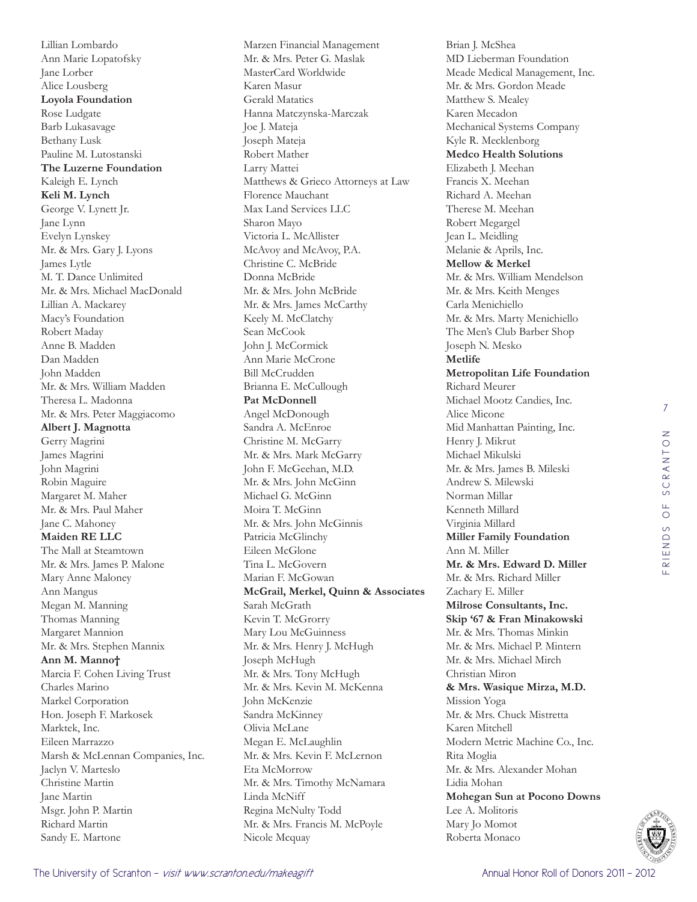Lillian Lombardo Ann Marie Lopatofsky Jane Lorber Alice Lousberg **Loyola Foundation**  Rose Ludgate Barb Lukasavage Bethany Lusk Pauline M. Lutostanski **The Luzerne Foundation**  Kaleigh E. Lynch **Keli M. Lynch**  George V. Lynett Jr. Jane Lynn Evelyn Lynskey Mr. & Mrs. Gary J. Lyons James Lytle M. T. Dance Unlimited Mr. & Mrs. Michael MacDonald Lillian A. Mackarey Macy's Foundation Robert Maday Anne B. Madden Dan Madden John Madden Mr. & Mrs. William Madden Theresa L. Madonna Mr. & Mrs. Peter Maggiacomo **Albert J. Magnotta**  Gerry Magrini James Magrini John Magrini Robin Maguire Margaret M. Maher Mr. & Mrs. Paul Maher Jane C. Mahoney **Maiden RE LLC**  The Mall at Steamtown Mr. & Mrs. James P. Malone Mary Anne Maloney Ann Mangus Megan M. Manning Thomas Manning Margaret Mannion Mr. & Mrs. Stephen Mannix **Ann M. Manno†** Marcia F. Cohen Living Trust Charles Marino Markel Corporation Hon. Joseph F. Markosek Marktek, Inc. Eileen Marrazzo Marsh & McLennan Companies, Inc. Jaclyn V. Marteslo Christine Martin Jane Martin Msgr. John P. Martin Richard Martin Sandy E. Martone

Marzen Financial Management Mr. & Mrs. Peter G. Maslak MasterCard Worldwide Karen Masur Gerald Matatics Hanna Matczynska-Marczak Joe J. Mateja Joseph Mateja Robert Mather Larry Mattei Matthews & Grieco Attorneys at Law Florence Mauchant Max Land Services LLC Sharon Mayo Victoria L. McAllister McAvoy and McAvoy, P.A. Christine C. McBride Donna McBride Mr. & Mrs. John McBride Mr. & Mrs. James McCarthy Keely M. McClatchy Sean McCook John J. McCormick Ann Marie McCrone Bill McCrudden Brianna E. McCullough **Pat McDonnell**  Angel McDonough Sandra A. McEnroe Christine M. McGarry Mr. & Mrs. Mark McGarry John F. McGeehan, M.D. Mr. & Mrs. John McGinn Michael G. McGinn Moira T. McGinn Mr. & Mrs. John McGinnis Patricia McGlinchy Eileen McGlone Tina L. McGovern Marian F. McGowan **McGrail, Merkel, Quinn & Associates**  Sarah McGrath Kevin T. McGrorry Mary Lou McGuinness Mr. & Mrs. Henry J. McHugh Joseph McHugh Mr. & Mrs. Tony McHugh Mr. & Mrs. Kevin M. McKenna John McKenzie Sandra McKinney Olivia McLane Megan E. McLaughlin Mr. & Mrs. Kevin F. McLernon Eta McMorrow Mr. & Mrs. Timothy McNamara Linda McNiff Regina McNulty Todd Mr. & Mrs. Francis M. McPoyle Nicole Mcquay

Brian J. McShea MD Lieberman Foundation Meade Medical Management, Inc. Mr. & Mrs. Gordon Meade Matthew S. Mealey Karen Mecadon Mechanical Systems Company Kyle R. Mecklenborg **Medco Health Solutions**  Elizabeth J. Meehan Francis X. Meehan Richard A. Meehan Therese M. Meehan Robert Megargel Jean L. Meidling Melanie & Aprils, Inc. **Mellow & Merkel**  Mr. & Mrs. William Mendelson Mr. & Mrs. Keith Menges Carla Menichiello Mr. & Mrs. Marty Menichiello The Men's Club Barber Shop Joseph N. Mesko **Metlife Metropolitan Life Foundation**  Richard Meurer Michael Mootz Candies, Inc. Alice Micone Mid Manhattan Painting, Inc. Henry J. Mikrut Michael Mikulski Mr. & Mrs. James B. Mileski Andrew S. Milewski Norman Millar Kenneth Millard Virginia Millard **Miller Family Foundation**  Ann M. Miller **Mr. & Mrs. Edward D. Miller**  Mr. & Mrs. Richard Miller Zachary E. Miller **Milrose Consultants, Inc. Skip '67 & Fran Minakowski** Mr. & Mrs. Thomas Minkin Mr. & Mrs. Michael P. Mintern Mr. & Mrs. Michael Mirch Christian Miron **& Mrs. Wasique Mirza, M.D.**  Mission Yoga Mr. & Mrs. Chuck Mistretta Karen Mitchell Modern Metric Machine Co., Inc. Rita Moglia Mr. & Mrs. Alexander Mohan Lidia Mohan **Mohegan Sun at Pocono Downs**  Lee A. Molitoris Mary Jo Momot Roberta Monaco

7

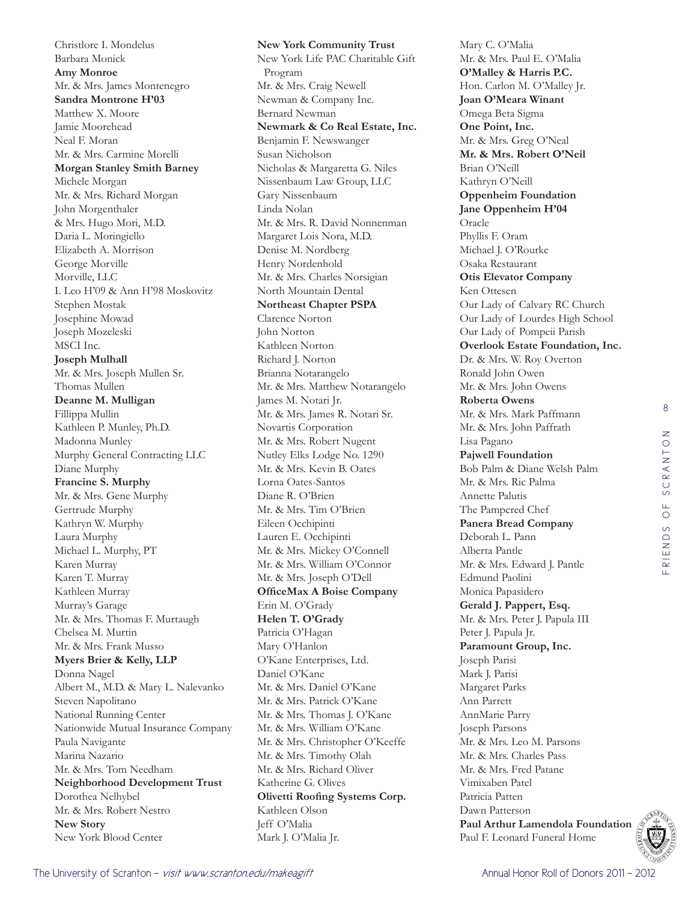Christlore I. Mondelus Barbara Monick **Amy Monroe**  Mr. & Mrs. James Montenegro **Sandra Montrone H'03** Matthew X. Moore Jamie Moorehead Neal F. Moran Mr. & Mrs. Carmine Morelli **Morgan Stanley Smith Barney**  Michele Morgan Mr. & Mrs. Richard Morgan John Morgenthaler & Mrs. Hugo Mori, M.D. Daria L. Moringiello Elizabeth A. Morrison George Morville Morville, LLC I. Leo H'09 & Ann H'98 Moskovitz Stephen Mostak Josephine Mowad Joseph Mozeleski MSCI Inc. **Joseph Mulhall**  Mr. & Mrs. Joseph Mullen Sr. Thomas Mullen **Deanne M. Mulligan**  Fillippa Mullin Kathleen P. Munley, Ph.D. Madonna Munley Murphy General Contracting LLC Diane Murphy **Francine S. Murphy**  Mr. & Mrs. Gene Murphy Gertrude Murphy Kathryn W. Murphy Laura Murphy Michael L. Murphy, PT Karen Murray Karen T. Murray Kathleen Murray Murray's Garage Mr. & Mrs. Thomas F. Murtaugh Chelsea M. Murtin Mr. & Mrs. Frank Musso **Myers Brier & Kelly, LLP**  Donna Nagel Albert M., M.D. & Mary L. Nalevanko Steven Napolitano National Running Center Nationwide Mutual Insurance Company Paula Navigante Marina Nazario Mr. & Mrs. Tom Needham **Neighborhood Development Trust**  Dorothea Nelhybel Mr. & Mrs. Robert Nestro **New Story**  New York Blood Center

**New York Community Trust**  New York Life PAC Charitable Gift Program Mr. & Mrs. Craig Newell Newman & Company Inc. Bernard Newman **Newmark & Co Real Estate, Inc.**  Benjamin F. Newswanger Susan Nicholson Nicholas & Margaretta G. Niles Nissenbaum Law Group, LLC Gary Nissenbaum Linda Nolan Mr. & Mrs. R. David Nonnenman Margaret Lois Nora, M.D. Denise M. Nordberg Henry Nordenhold Mr. & Mrs. Charles Norsigian North Mountain Dental **Northeast Chapter PSPA**  Clarence Norton John Norton Kathleen Norton Richard J. Norton Brianna Notarangelo Mr. & Mrs. Matthew Notarangelo James M. Notari Jr. Mr. & Mrs. James R. Notari Sr. Novartis Corporation Mr. & Mrs. Robert Nugent Nutley Elks Lodge No. 1290 Mr. & Mrs. Kevin B. Oates Lorna Oates-Santos Diane R. O'Brien Mr. & Mrs. Tim O'Brien Eileen Occhipinti Lauren E. Occhipinti Mr. & Mrs. Mickey O'Connell Mr. & Mrs. William O'Connor Mr. & Mrs. Joseph O'Dell **OfficeMax A Boise Company**  Erin M. O'Grady **Helen T. O'Grady**  Patricia O'Hagan Mary O'Hanlon O'Kane Enterprises, Ltd. Daniel O'Kane Mr. & Mrs. Daniel O'Kane Mr. & Mrs. Patrick O'Kane Mr. & Mrs. Thomas J. O'Kane Mr. & Mrs. William O'Kane Mr. & Mrs. Christopher O'Keeffe Mr. & Mrs. Timothy Olah Mr. & Mrs. Richard Oliver Katherine G. Olives **Olivetti Roofing Systems Corp.**  Kathleen Olson Jeff O'Malia Mark J. O'Malia Jr.

Mary C. O'Malia Mr. & Mrs. Paul E. O'Malia **O'Malley & Harris P.C.**  Hon. Carlon M. O'Malley Jr. **Joan O'Meara Winant**  Omega Beta Sigma **One Point, Inc.**  Mr. & Mrs. Greg O'Neal **Mr. & Mrs. Robert O'Neil**  Brian O'Neill Kathryn O'Neill **Oppenheim Foundation Jane Oppenheim H'04** Oracle Phyllis F. Oram Michael J. O'Rourke Osaka Restaurant **Otis Elevator Company**  Ken Ottesen Our Lady of Calvary RC Church Our Lady of Lourdes High School Our Lady of Pompeii Parish **Overlook Estate Foundation, Inc.**  Dr. & Mrs. W. Roy Overton Ronald John Owen Mr. & Mrs. John Owens **Roberta Owens**  Mr. & Mrs. Mark Paffmann Mr. & Mrs. John Paffrath Lisa Pagano **Pajwell Foundation**  Bob Palm & Diane Welsh Palm Mr. & Mrs. Ric Palma Annette Palutis The Pampered Chef **Panera Bread Company**  Deborah L. Pann Alberta Pantle Mr. & Mrs. Edward J. Pantle Edmund Paolini Monica Papasidero **Gerald J. Pappert, Esq.**  Mr. & Mrs. Peter J. Papula III Peter J. Papula Jr. **Paramount Group, Inc.**  Joseph Parisi Mark J. Parisi Margaret Parks Ann Parrett AnnMarie Parry Joseph Parsons Mr. & Mrs. Leo M. Parsons Mr. & Mrs. Charles Pass Mr. & Mrs. Fred Patane Vimixaben Patel Patricia Patten Dawn Patterson **Paul Arthur Lamendola Foundation**  Paul F. Leonard Funeral Home

8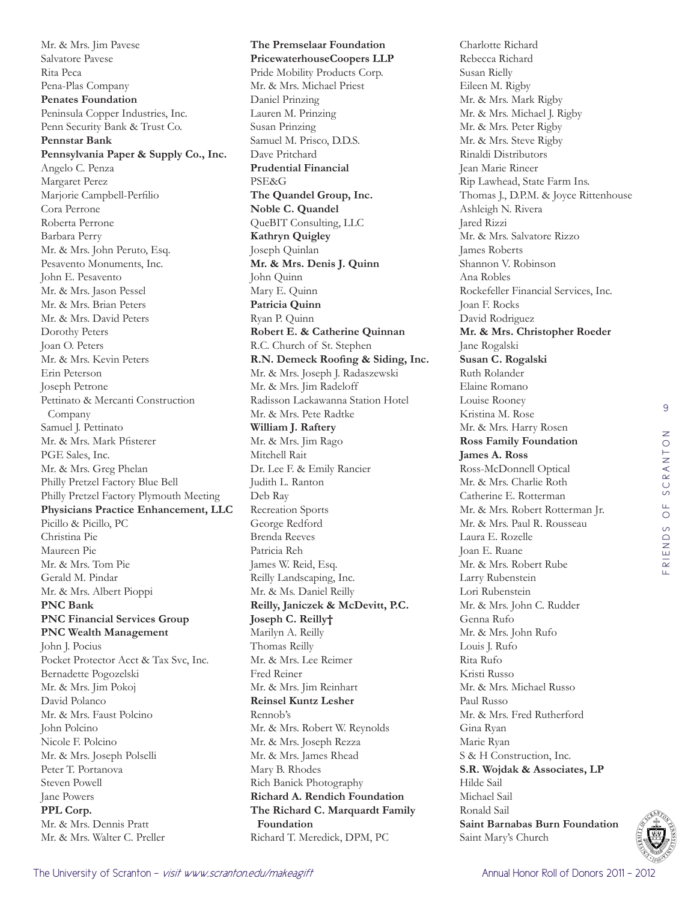Mr. & Mrs. Jim Pavese Salvatore Pavese Rita Peca Pena-Plas Company **Penates Foundation**  Peninsula Copper Industries, Inc. Penn Security Bank & Trust Co. **Pennstar Bank Pennsylvania Paper & Supply Co., Inc.**  Angelo C. Penza Margaret Perez Marjorie Campbell-Perfilio Cora Perrone Roberta Perrone Barbara Perry Mr. & Mrs. John Peruto, Esq. Pesavento Monuments, Inc. John E. Pesavento Mr. & Mrs. Jason Pessel Mr. & Mrs. Brian Peters Mr. & Mrs. David Peters Dorothy Peters Joan O. Peters Mr. & Mrs. Kevin Peters Erin Peterson Joseph Petrone Pettinato & Mercanti Construction Company Samuel J. Pettinato Mr. & Mrs. Mark Pfisterer PGE Sales, Inc. Mr. & Mrs. Greg Phelan Philly Pretzel Factory Blue Bell Philly Pretzel Factory Plymouth Meeting **Physicians Practice Enhancement, LLC**  Picillo & Picillo, PC Christina Pie Maureen Pie Mr. & Mrs. Tom Pie Gerald M. Pindar Mr. & Mrs. Albert Pioppi **PNC Bank PNC Financial Services Group PNC Wealth Management**  John J. Pocius Pocket Protector Acct & Tax Svc, Inc. Bernadette Pogozelski Mr. & Mrs. Jim Pokoj David Polanco Mr. & Mrs. Faust Polcino John Polcino Nicole F. Polcino Mr. & Mrs. Joseph Polselli Peter T. Portanova Steven Powell Jane Powers **PPL Corp.**  Mr. & Mrs. Dennis Pratt Mr. & Mrs. Walter C. Preller

**The Premselaar Foundation PricewaterhouseCoopers LLP**  Pride Mobility Products Corp. Mr. & Mrs. Michael Priest Daniel Prinzing Lauren M. Prinzing Susan Prinzing Samuel M. Prisco, D.D.S. Dave Pritchard **Prudential Financial**  PSE&G **The Quandel Group, Inc. Noble C. Quandel**  QueBIT Consulting, LLC **Kathryn Quigley**  Joseph Quinlan **Mr. & Mrs. Denis J. Quinn**  John Quinn Mary E. Quinn **Patricia Quinn**  Ryan P. Quinn **Robert E. & Catherine Quinnan** R.C. Church of St. Stephen **R.N. Demeck Roofing & Siding, Inc.**  Mr. & Mrs. Joseph J. Radaszewski Mr. & Mrs. Jim Radeloff Radisson Lackawanna Station Hotel Mr. & Mrs. Pete Radtke **William J. Raftery**  Mr. & Mrs. Jim Rago Mitchell Rait Dr. Lee F. & Emily Rancier Judith L. Ranton Deb Ray Recreation Sports George Redford Brenda Reeves Patricia Reh James W. Reid, Esq. Reilly Landscaping, Inc. Mr. & Ms. Daniel Reilly **Reilly, Janiczek & McDevitt, P.C. Joseph C. Reilly†** Marilyn A. Reilly Thomas Reilly Mr. & Mrs. Lee Reimer Fred Reiner Mr. & Mrs. Jim Reinhart **Reinsel Kuntz Lesher**  Rennob's Mr. & Mrs. Robert W. Reynolds Mr. & Mrs. Joseph Rezza Mr. & Mrs. James Rhead Mary B. Rhodes Rich Banick Photography **Richard A. Rendich Foundation The Richard C. Marquardt Family Foundation**  Richard T. Meredick, DPM, PC

Charlotte Richard Rebecca Richard Susan Rielly Eileen M. Rigby Mr. & Mrs. Mark Rigby Mr. & Mrs. Michael J. Rigby Mr. & Mrs. Peter Rigby Mr. & Mrs. Steve Rigby Rinaldi Distributors Jean Marie Rineer Rip Lawhead, State Farm Ins. Thomas J., D.P.M. & Joyce Rittenhouse Ashleigh N. Rivera Jared Rizzi Mr. & Mrs. Salvatore Rizzo James Roberts Shannon V. Robinson Ana Robles Rockefeller Financial Services, Inc. Joan F. Rocks David Rodriguez **Mr. & Mrs. Christopher Roeder**  Jane Rogalski **Susan C. Rogalski**  Ruth Rolander Elaine Romano Louise Rooney Kristina M. Rose Mr. & Mrs. Harry Rosen **Ross Family Foundation James A. Ross**  Ross-McDonnell Optical Mr. & Mrs. Charlie Roth Catherine E. Rotterman Mr. & Mrs. Robert Rotterman Jr. Mr. & Mrs. Paul R. Rousseau Laura E. Rozelle Joan E. Ruane Mr. & Mrs. Robert Rube Larry Rubenstein Lori Rubenstein Mr. & Mrs. John C. Rudder Genna Rufo Mr. & Mrs. John Rufo Louis J. Rufo Rita Rufo Kristi Russo Mr. & Mrs. Michael Russo Paul Russo Mr. & Mrs. Fred Rutherford Gina Ryan Marie Ryan S & H Construction, Inc. **S.R. Wojdak & Associates, LP**  Hilde Sail Michael Sail Ronald Sail **Saint Barnabas Burn Foundation**  Saint Mary's Church



9

FRIENDS OF SCRANTON

RIENDS OF SCRANTON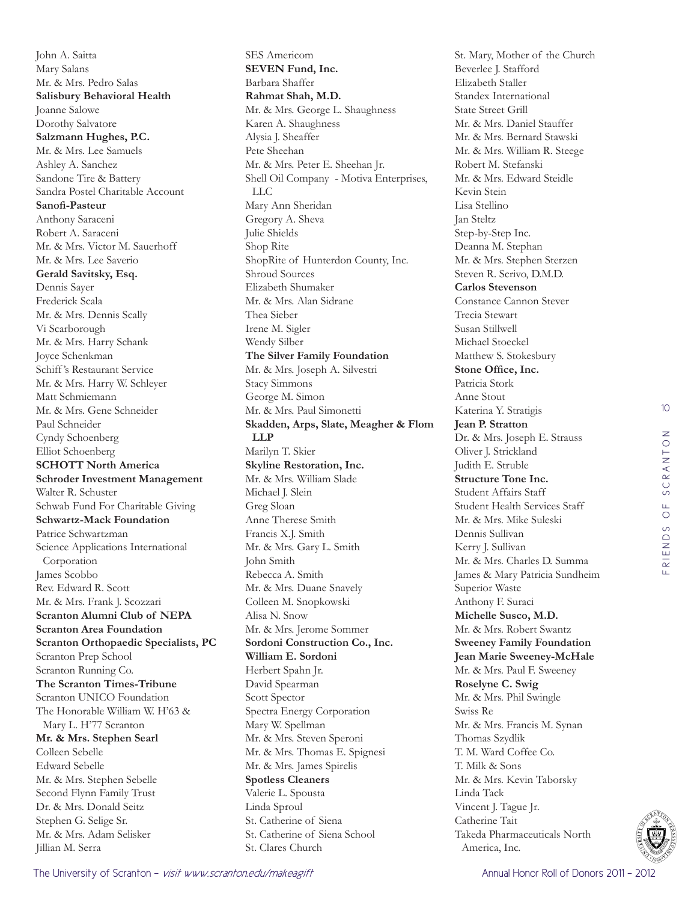John A. Saitta Mary Salans Mr. & Mrs. Pedro Salas **Salisbury Behavioral Health**  Joanne Salowe Dorothy Salvatore **Salzmann Hughes, P.C.**  Mr. & Mrs. Lee Samuels Ashley A. Sanchez Sandone Tire & Battery Sandra Postel Charitable Account **Sanofi-Pasteur**  Anthony Saraceni Robert A. Saraceni Mr. & Mrs. Victor M. Sauerhoff Mr. & Mrs. Lee Saverio **Gerald Savitsky, Esq.**  Dennis Sayer Frederick Scala Mr. & Mrs. Dennis Scally Vi Scarborough Mr. & Mrs. Harry Schank Joyce Schenkman Schiff 's Restaurant Service Mr. & Mrs. Harry W. Schleyer Matt Schmiemann Mr. & Mrs. Gene Schneider Paul Schneider Cyndy Schoenberg Elliot Schoenberg **SCHOTT North America Schroder Investment Management**  Walter R. Schuster Schwab Fund For Charitable Giving **Schwartz-Mack Foundation**  Patrice Schwartzman Science Applications International Corporation James Scobbo Rev. Edward R. Scott Mr. & Mrs. Frank J. Scozzari **Scranton Alumni Club of NEPA Scranton Area Foundation Scranton Orthopaedic Specialists, PC**  Scranton Prep School Scranton Running Co. **The Scranton Times-Tribune**  Scranton UNICO Foundation The Honorable William W. H'63 & Mary L. H'77 Scranton **Mr. & Mrs. Stephen Searl**  Colleen Sebelle Edward Sebelle Mr. & Mrs. Stephen Sebelle Second Flynn Family Trust Dr. & Mrs. Donald Seitz Stephen G. Selige Sr. Mr. & Mrs. Adam Selisker Jillian M. Serra

SES Americom **SEVEN Fund, Inc.**  Barbara Shaffer **Rahmat Shah, M.D.**  Mr. & Mrs. George L. Shaughness Karen A. Shaughness Alysia J. Sheaffer Pete Sheehan Mr. & Mrs. Peter E. Sheehan Jr. Shell Oil Company - Motiva Enterprises, LLC Mary Ann Sheridan Gregory A. Sheva Julie Shields Shop Rite ShopRite of Hunterdon County, Inc. Shroud Sources Elizabeth Shumaker Mr. & Mrs. Alan Sidrane Thea Sieber Irene M. Sigler Wendy Silber **The Silver Family Foundation**  Mr. & Mrs. Joseph A. Silvestri Stacy Simmons George M. Simon Mr. & Mrs. Paul Simonetti **Skadden, Arps, Slate, Meagher & Flom LLP**  Marilyn T. Skier **Skyline Restoration, Inc.**  Mr. & Mrs. William Slade Michael J. Slein Greg Sloan Anne Therese Smith Francis X.J. Smith Mr. & Mrs. Gary L. Smith John Smith Rebecca A. Smith Mr. & Mrs. Duane Snavely Colleen M. Snopkowski Alisa N. Snow Mr. & Mrs. Jerome Sommer **Sordoni Construction Co., Inc. William E. Sordoni**  Herbert Spahn Jr. David Spearman Scott Spector Spectra Energy Corporation Mary W. Spellman Mr. & Mrs. Steven Speroni Mr. & Mrs. Thomas E. Spignesi Mr. & Mrs. James Spirelis **Spotless Cleaners**  Valerie L. Spousta Linda Sproul St. Catherine of Siena St. Catherine of Siena School St. Clares Church

St. Mary, Mother of the Church Beverlee J. Stafford Elizabeth Staller Standex International State Street Grill Mr. & Mrs. Daniel Stauffer Mr. & Mrs. Bernard Stawski Mr. & Mrs. William R. Steege Robert M. Stefanski Mr. & Mrs. Edward Steidle Kevin Stein Lisa Stellino Jan Steltz Step-by-Step Inc. Deanna M. Stephan Mr. & Mrs. Stephen Sterzen Steven R. Scrivo, D.M.D. **Carlos Stevenson**  Constance Cannon Stever Trecia Stewart Susan Stillwell Michael Stoeckel Matthew S. Stokesbury **Stone Office, Inc.**  Patricia Stork Anne Stout Katerina Y. Stratigis **Jean P. Stratton**  Dr. & Mrs. Joseph E. Strauss Oliver J. Strickland Judith E. Struble **Structure Tone Inc.**  Student Affairs Staff Student Health Services Staff Mr. & Mrs. Mike Suleski Dennis Sullivan Kerry J. Sullivan Mr. & Mrs. Charles D. Summa James & Mary Patricia Sundheim Superior Waste Anthony F. Suraci **Michelle Susco, M.D.**  Mr. & Mrs. Robert Swantz **Sweeney Family Foundation Jean Marie Sweeney-McHale**  Mr. & Mrs. Paul F. Sweeney **Roselyne C. Swig**  Mr. & Mrs. Phil Swingle Swiss Re Mr. & Mrs. Francis M. Synan Thomas Szydlik T. M. Ward Coffee Co. T. Milk & Sons Mr. & Mrs. Kevin Taborsky Linda Tack Vincent J. Tague Jr. Catherine Tait Takeda Pharmaceuticals North America, Inc.